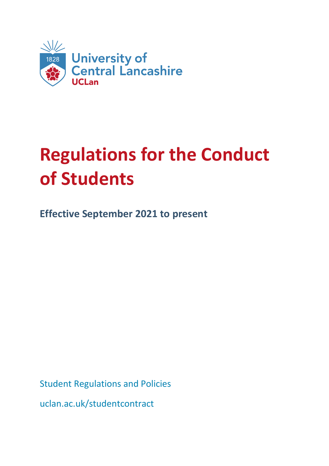

# **Regulations for the Conduct of Students**

**Effective September 2021 to present**

Student Regulations and Policies

uclan.ac.uk/studentcontract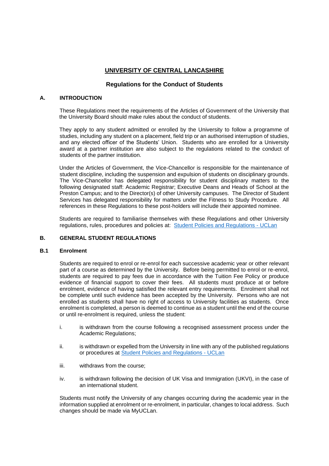# **UNIVERSITY OF CENTRAL LANCASHIRE**

# **Regulations for the Conduct of Students**

## **A. INTRODUCTION**

These Regulations meet the requirements of the Articles of Government of the University that the University Board should make rules about the conduct of students.

They apply to any student admitted or enrolled by the University to follow a programme of studies, including any student on a placement, field trip or an authorised interruption of studies, and any elected officer of the Students' Union. Students who are enrolled for a University award at a partner institution are also subject to the regulations related to the conduct of students of the partner institution.

Under the Articles of Government, the Vice-Chancellor is responsible for the maintenance of student discipline, including the suspension and expulsion of students on disciplinary grounds. The Vice-Chancellor has delegated responsibility for student disciplinary matters to the following designated staff: Academic Registrar; Executive Deans and Heads of School at the Preston Campus; and to the Director(s) of other University campuses. The Director of Student Services has delegated responsibility for matters under the Fitness to Study Procedure. All references in these Regulations to these post-holders will include their appointed nominee.

Students are required to familiarise themselves with these Regulations and other University regulations, rules, procedures and policies at: [Student Policies and Regulations -](https://www.uclan.ac.uk/legal/student-policies) UCLan

## **B. GENERAL STUDENT REGULATIONS**

#### **B.1 Enrolment**

Students are required to enrol or re-enrol for each successive academic year or other relevant part of a course as determined by the University. Before being permitted to enrol or re-enrol, students are required to pay fees due in accordance with the Tuition Fee Policy or produce evidence of financial support to cover their fees. All students must produce at or before enrolment, evidence of having satisfied the relevant entry requirements. Enrolment shall not be complete until such evidence has been accepted by the University. Persons who are not enrolled as students shall have no right of access to University facilities as students. Once enrolment is completed, a person is deemed to continue as a student until the end of the course or until re-enrolment is required, unless the student:

- i. is withdrawn from the course following a recognised assessment process under the Academic Regulations;
- ii. is withdrawn or expelled from the University in line with any of the published regulations or procedures at [Student Policies and Regulations -](https://www.uclan.ac.uk/legal/student-policies) UCLan
- iii. withdraws from the course;
- iv. is withdrawn following the decision of UK Visa and Immigration (UKVI), in the case of an international student.

Students must notify the University of any changes occurring during the academic year in the information supplied at enrolment or re-enrolment, in particular, changes to local address. Such changes should be made via MyUCLan.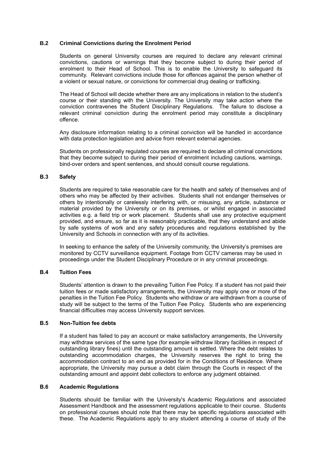#### **B.2 Criminal Convictions during the Enrolment Period**

Students on general University courses are required to declare any relevant criminal convictions, cautions or warnings that they become subject to during their period of enrolment to their Head of School. This is to enable the University to safeguard its community. Relevant convictions include those for offences against the person whether of a violent or sexual nature, or convictions for commercial drug dealing or trafficking.

The Head of School will decide whether there are any implications in relation to the student's course or their standing with the University. The University may take action where the conviction contravenes the Student Disciplinary Regulations. The failure to disclose a relevant criminal conviction during the enrolment period may constitute a disciplinary offence.

Any disclosure information relating to a criminal conviction will be handled in accordance with data protection legislation and advice from relevant external agencies.

Students on professionally regulated courses are required to declare all criminal convictions that they become subject to during their period of enrolment including cautions, warnings, bind-over orders and spent sentences, and should consult course regulations.

#### **B.3 Safety**

Students are required to take reasonable care for the health and safety of themselves and of others who may be affected by their activities. Students shall not endanger themselves or others by intentionally or carelessly interfering with, or misusing, any article, substance or material provided by the University or on its premises, or whilst engaged in associated activities e.g. a field trip or work placement. Students shall use any protective equipment provided, and ensure, so far as it is reasonably practicable, that they understand and abide by safe systems of work and any safety procedures and regulations established by the University and Schools in connection with any of its activities.

In seeking to enhance the safety of the University community, the University's premises are monitored by CCTV surveillance equipment. Footage from CCTV cameras may be used in proceedings under the Student Disciplinary Procedure or in any criminal proceedings.

#### **B.4 Tuition Fees**

Students' attention is drawn to the prevailing Tuition Fee Policy. If a student has not paid their tuition fees or made satisfactory arrangements, the University may apply one or more of the penalties in the Tuition Fee Policy. Students who withdraw or are withdrawn from a course of study will be subject to the terms of the Tuition Fee Policy. Students who are experiencing financial difficulties may access University support services.

#### **B.5 Non-Tuition fee debts**

If a student has failed to pay an account or make satisfactory arrangements, the University may withdraw services of the same type (for example withdraw library facilities in respect of outstanding library fines) until the outstanding amount is settled. Where the debt relates to outstanding accommodation charges, the University reserves the right to bring the accommodation contract to an end as provided for in the Conditions of Residence. Where appropriate, the University may pursue a debt claim through the Courts in respect of the outstanding amount and appoint debt collectors to enforce any judgment obtained.

#### **B.6 Academic Regulations**

Students should be familiar with the University's Academic Regulations and associated Assessment Handbook and the assessment regulations applicable to their course. Students on professional courses should note that there may be specific regulations associated with these. The Academic Regulations apply to any student attending a course of study of the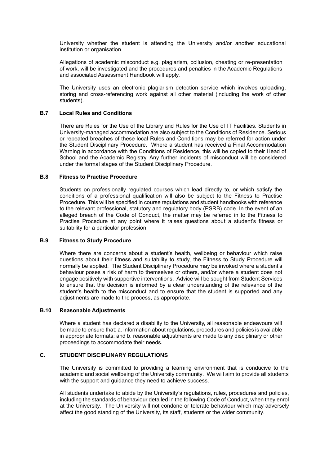University whether the student is attending the University and/or another educational institution or organisation.

Allegations of academic misconduct e.g. plagiarism, collusion, cheating or re-presentation of work, will be investigated and the procedures and penalties in the Academic Regulations and associated Assessment Handbook will apply.

The University uses an electronic plagiarism detection service which involves uploading, storing and cross-referencing work against all other material (including the work of other students).

#### **B.7 Local Rules and Conditions**

There are Rules for the Use of the Library and Rules for the Use of IT Facilities. Students in University-managed accommodation are also subject to the Conditions of Residence. Serious or repeated breaches of these local Rules and Conditions may be referred for action under the Student Disciplinary Procedure. Where a student has received a Final Accommodation Warning in accordance with the Conditions of Residence, this will be copied to their Head of School and the Academic Registry. Any further incidents of misconduct will be considered under the formal stages of the Student Disciplinary Procedure.

#### **B.8 Fitness to Practise Procedure**

Students on professionally regulated courses which lead directly to, or which satisfy the conditions of a professional qualification will also be subject to the Fitness to Practise Procedure. This will be specified in course regulations and student handbooks with reference to the relevant professional, statutory and regulatory body (PSRB) code. In the event of an alleged breach of the Code of Conduct, the matter may be referred in to the Fitness to Practise Procedure at any point where it raises questions about a student's fitness or suitability for a particular profession.

#### **B.9 Fitness to Study Procedure**

Where there are concerns about a student's health, wellbeing or behaviour which raise questions about their fitness and suitability to study, the Fitness to Study Procedure will normally be applied. The Student Disciplinary Procedure may be invoked where a student's behaviour poses a risk of harm to themselves or others, and/or where a student does not engage positively with supportive interventions. Advice will be sought from Student Services to ensure that the decision is informed by a clear understanding of the relevance of the student's health to the misconduct and to ensure that the student is supported and any adjustments are made to the process, as appropriate.

#### **B.10 Reasonable Adjustments**

Where a student has declared a disability to the University, all reasonable endeavours will be made to ensure that: a. information about regulations, procedures and policies is available in appropriate formats; and b. reasonable adjustments are made to any disciplinary or other proceedings to accommodate their needs.

#### **C. STUDENT DISCIPLINARY REGULATIONS**

The University is committed to providing a learning environment that is conducive to the academic and social wellbeing of the University community. We will aim to provide all students with the support and guidance they need to achieve success.

All students undertake to abide by the University's regulations, rules, procedures and policies, including the standards of behaviour detailed in the following Code of Conduct, when they enrol at the University. The University will not condone or tolerate behaviour which may adversely affect the good standing of the University, its staff, students or the wider community.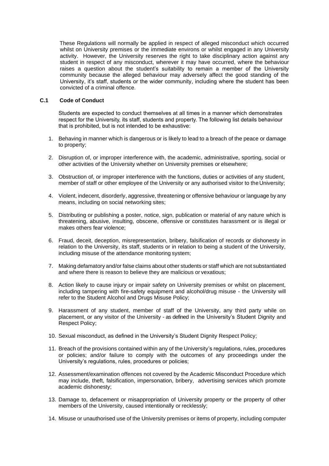These Regulations will normally be applied in respect of alleged misconduct which occurred whilst on University premises or the immediate environs or whilst engaged in any University activity. However, the University reserves the right to take disciplinary action against any student in respect of any misconduct, wherever it may have occurred, where the behaviour raises a question about the student's suitability to remain a member of the University community because the alleged behaviour may adversely affect the good standing of the University, it's staff, students or the wider community, including where the student has been convicted of a criminal offence.

#### **C.1 Code of Conduct**

Students are expected to conduct themselves at all times in a manner which demonstrates respect for the University, its staff, students and property. The following list details behaviour that is prohibited, but is not intended to be exhaustive:

- 1. Behaving in manner which is dangerous or is likely to lead to a breach of the peace or damage to property;
- 2. Disruption of, or improper interference with, the academic, administrative, sporting, social or other activities of the University whether on University premises or elsewhere;
- 3. Obstruction of, or improper interference with the functions, duties or activities of any student, member of staff or other employee of the University or any authorised visitor to the University;
- 4. Violent, indecent, disorderly, aggressive, threatening or offensive behaviour or language by any means, including on social networking sites;
- 5. Distributing or publishing a poster, notice, sign, publication or material of any nature which is threatening, abusive, insulting, obscene, offensive or constitutes harassment or is illegal or makes others fear violence;
- 6. Fraud, deceit, deception, misrepresentation, bribery, falsification of records or dishonesty in relation to the University, its staff, students or in relation to being a student of the University, including misuse of the attendance monitoring system;
- 7. Making defamatory and/or false claims about other students or staff which are not substantiated and where there is reason to believe they are malicious or vexatious;
- 8. Action likely to cause injury or impair safety on University premises or whilst on placement, including tampering with fire-safety equipment and alcohol/drug misuse - the University will refer to the Student Alcohol and Drugs Misuse Policy;
- 9. Harassment of any student, member of staff of the University, any third party while on placement, or any visitor of the University - as defined in the University's Student Dignity and Respect Policy;
- 10. Sexual misconduct, as defined in the University's Student Dignity Respect Policy;
- 11. Breach of the provisions contained within any of the University's regulations, rules, procedures or policies; and/or failure to comply with the outcomes of any proceedings under the University's regulations, rules, procedures or policies;
- 12. Assessment/examination offences not covered by the Academic Misconduct Procedure which may include, theft, falsification, impersonation, bribery, advertising services which promote academic dishonesty;
- 13. Damage to, defacement or misappropriation of University property or the property of other members of the University, caused intentionally or recklessly;
- 14. Misuse or unauthorised use of the University premises or items of property, including computer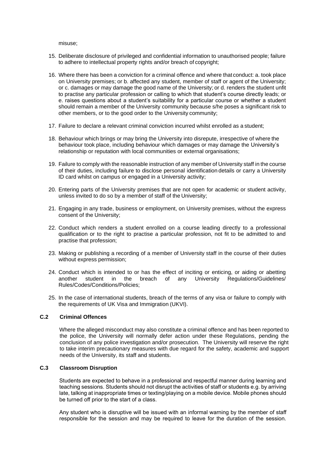misuse;

- 15. Deliberate disclosure of privileged and confidential information to unauthorised people; failure to adhere to intellectual property rights and/or breach of copyright;
- 16. Where there has been a conviction for a criminal offence and where that conduct: a. took place on University premises; or b. affected any student, member of staff or agent of the University; or c. damages or may damage the good name of the University; or d. renders the student unfit to practise any particular profession or calling to which that student's course directly leads; or e. raises questions about a student's suitability for a particular course or whether a student should remain a member of the University community because s/he poses a significant risk to other members, or to the good order to the University community;
- 17. Failure to declare a relevant criminal conviction incurred whilst enrolled as a student;
- 18. Behaviour which brings or may bring the University into disrepute, irrespective of where the behaviour took place, including behaviour which damages or may damage the University's relationship or reputation with local communities or external organisations;
- 19. Failure to comply with the reasonable instruction of any member of University staff in the course of their duties, including failure to disclose personal identification details or carry a University ID card whilst on campus or engaged in a University activity;
- 20. Entering parts of the University premises that are not open for academic or student activity, unless invited to do so by a member of staff of the University;
- 21. Engaging in any trade, business or employment, on University premises, without the express consent of the University;
- 22. Conduct which renders a student enrolled on a course leading directly to a professional qualification or to the right to practise a particular profession, not fit to be admitted to and practise that profession;
- 23. Making or publishing a recording of a member of University staff in the course of their duties without express permission;
- 24. Conduct which is intended to or has the effect of inciting or enticing, or aiding or abetting another student in the breach of any University Regulations/Guidelines/ Rules/Codes/Conditions/Policies;
- 25. In the case of international students, breach of the terms of any visa or failure to comply with the requirements of UK Visa and Immigration (UKVI).

#### **C.2 Criminal Offences**

Where the alleged misconduct may also constitute a criminal offence and has been reported to the police, the University will normally defer action under these Regulations, pending the conclusion of any police investigation and/or prosecution. The University will reserve the right to take interim precautionary measures with due regard for the safety, academic and support needs of the University, its staff and students.

#### **C.3 Classroom Disruption**

Students are expected to behave in a professional and respectful manner during learning and teaching sessions. Students should not disrupt the activities of staff or students e.g. by arriving late, talking at inappropriate times or texting/playing on a mobile device. Mobile phones should be turned off prior to the start of a class.

Any student who is disruptive will be issued with an informal warning by the member of staff responsible for the session and may be required to leave for the duration of the session.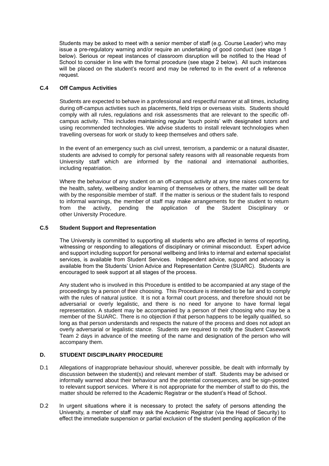Students may be asked to meet with a senior member of staff (e.g. Course Leader) who may issue a pre-regulatory warning and/or require an undertaking of good conduct (see stage 1 below). Serious or repeat instances of classroom disruption will be notified to the Head of School to consider in line with the formal procedure (see stage 2 below). All such instances will be placed on the student's record and may be referred to in the event of a reference request.

## **C.4 Off Campus Activities**

Students are expected to behave in a professional and respectful manner at all times, including during off-campus activities such as placements, field trips or overseas visits. Students should comply with all rules, regulations and risk assessments that are relevant to the specific offcampus activity. This includes maintaining regular 'touch points' with designated tutors and using recommended technologies. We advise students to install relevant technologies when travelling overseas for work or study to keep themselves and others safe.

In the event of an emergency such as civil unrest, terrorism, a pandemic or a natural disaster, students are advised to comply for personal safety reasons with all reasonable requests from University staff which are informed by the national and international authorities, including repatriation.

Where the behaviour of any student on an off-campus activity at any time raises concerns for the health, safety, wellbeing and/or learning of themselves or others, the matter will be dealt with by the responsible member of staff. If the matter is serious or the student fails to respond to informal warnings, the member of staff may make arrangements for the student to return from the activity, pending the application of the Student Disciplinary or other University Procedure.

#### **C.5 Student Support and Representation**

The University is committed to supporting all students who are affected in terms of reporting, witnessing or responding to allegations of disciplinary or criminal misconduct. Expert advice and support including support for personal wellbeing and links to internal and external specialist services, is available from Student Services. Independent advice, support and advocacy is available from the Students' Union Advice and Representation Centre (SUARC). Students are encouraged to seek support at all stages of the process.

Any student who is involved in this Procedure is entitled to be accompanied at any stage of the proceedings by a person of their choosing. This Procedure is intended to be fair and to comply with the rules of natural justice. It is not a formal court process, and therefore should not be adversarial or overly legalistic, and there is no need for anyone to have formal legal representation. A student may be accompanied by a person of their choosing who may be a member of the SUARC. There is no objection if that person happens to be legally qualified, so long as that person understands and respects the nature of the process and does not adopt an overly adversarial or legalistic stance. Students are required to notify the Student Casework Team 2 days in advance of the meeting of the name and designation of the person who will accompany them.

#### **D. STUDENT DISCIPLINARY PROCEDURE**

- D.1 Allegations of inappropriate behaviour should, wherever possible, be dealt with informally by discussion between the student(s) and relevant member of staff. Students may be advised or informally warned about their behaviour and the potential consequences, and be sign-posted to relevant support services. Where it is not appropriate for the member of staff to do this, the matter should be referred to the Academic Registrar or the student's Head of School.
- D.2 In urgent situations where it is necessary to protect the safety of persons attending the University, a member of staff may ask the Academic Registrar (via the Head of Security) to effect the immediate suspension or partial exclusion of the student pending application of the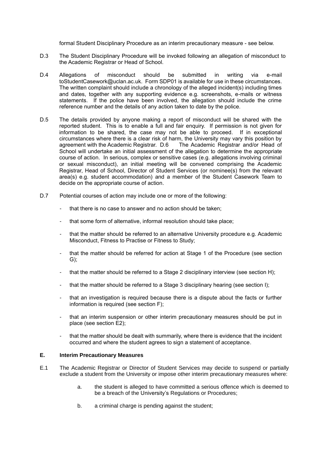formal Student Disciplinary Procedure as an interim precautionary measure - see below.

- D.3 The Student Disciplinary Procedure will be invoked following an allegation of misconduct to the Academic Registrar or Head of School.
- D.4 Allegations of misconduct should be submitted in writing via e-mail toStudentCasework@uclan.ac.uk. Form SDP01 is available for use in these circumstances. The written complaint should include a chronology of the alleged incident(s) including times and dates, together with any supporting evidence e.g. screenshots, e-mails or witness statements. If the police have been involved, the allegation should include the crime reference number and the details of any action taken to date by the police.
- D.5 The details provided by anyone making a report of misconduct will be shared with the reported student. This is to enable a full and fair enquiry. If permission is not given for information to be shared, the case may not be able to proceed. If in exceptional circumstances where there is a clear risk of harm, the University may vary this position by agreement with the Academic Registrar. D.6 School will undertake an initial assessment of the allegation to determine the appropriate course of action. In serious, complex or sensitive cases (e.g. allegations involving criminal or sexual misconduct), an initial meeting will be convened comprising the Academic Registrar, Head of School, Director of Student Services (or nominee(s) from the relevant area(s) e.g. student accommodation) and a member of the Student Casework Team to decide on the appropriate course of action.
- D.7 Potential courses of action may include one or more of the following:
	- that there is no case to answer and no action should be taken;
	- that some form of alternative, informal resolution should take place;
	- that the matter should be referred to an alternative University procedure e.g. Academic Misconduct, Fitness to Practise or Fitness to Study;
	- that the matter should be referred for action at Stage 1 of the Procedure (see section G);
	- that the matter should be referred to a Stage 2 disciplinary interview (see section H);
	- that the matter should be referred to a Stage 3 disciplinary hearing (see section I);
	- that an investigation is required because there is a dispute about the facts or further information is required (see section F);
	- that an interim suspension or other interim precautionary measures should be put in place (see section E2);
	- that the matter should be dealt with summarily, where there is evidence that the incident occurred and where the student agrees to sign a statement of acceptance.

#### **E. Interim Precautionary Measures**

- E.1 The Academic Registrar or Director of Student Services may decide to suspend or partially exclude a student from the University or impose other interim precautionary measures where:
	- a. the student is alleged to have committed a serious offence which is deemed to be a breach of the University's Regulations or Procedures;
	- b. a criminal charge is pending against the student;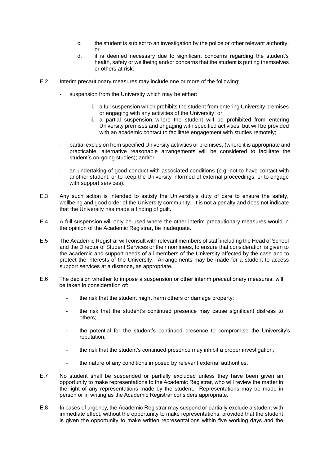- c. the student is subject to an investigation by the police or other relevant authority; or
- d. it is deemed necessary due to significant concerns regarding the student's health, safety or wellbeing and/or concerns that the student is putting themselves or others at risk.
- E.2 Interim precautionary measures may include one or more of the following:
	- suspension from the University which may be either:
		- i. a full suspension which prohibits the student from entering University premises or engaging with any activities of the University; or
		- ii. a partial suspension where the student will be prohibited from entering University premises and engaging with specified activities, but will be provided with an academic contact to facilitate engagement with studies remotely;
	- partial exclusion from specified University activities or premises, (where it is appropriate and practicable, alternative reasonable arrangements will be considered to facilitate the student's on-going studies); and/or
	- an undertaking of good conduct with associated conditions (e.g. not to have contact with another student, or to keep the University informed of external proceedings, or to engage with support services).
- E.3 Any such action is intended to satisfy the University's duty of care to ensure the safety, wellbeing and good order of the University community. It is not a penalty and does not indicate that the University has made a finding of guilt.
- E.4 A full suspension will only be used where the other interim precautionary measures would in the opinion of the Academic Registrar, be inadequate.
- E.5 The Academic Registrar will consult with relevant members of staff including the Head of School and the Director of Student Services or their nominees, to ensure that consideration is given to the academic and support needs of all members of the University affected by the case and to protect the interests of the University. Arrangements may be made for a student to access support services at a distance, as appropriate.
- E.6 The decision whether to impose a suspension or other interim precautionary measures, will be taken in consideration of:
	- the risk that the student might harm others or damage property;
	- the risk that the student's continued presence may cause significant distress to others;
	- the potential for the student's continued presence to compromise the University's reputation;
	- the risk that the student's continued presence may inhibit a proper investigation;
	- the nature of any conditions imposed by relevant external authorities.
- E.7 No student shall be suspended or partially excluded unless they have been given an opportunity to make representations to the Academic Registrar, who will review the matter in the light of any representations made by the student. Representations may be made in person or in writing as the Academic Registrar considers appropriate.
- E.8 In cases of urgency, the Academic Registrar may suspend or partially exclude a student with immediate effect, without the opportunity to make representations, provided that the student is given the opportunity to make written representations within five working days and the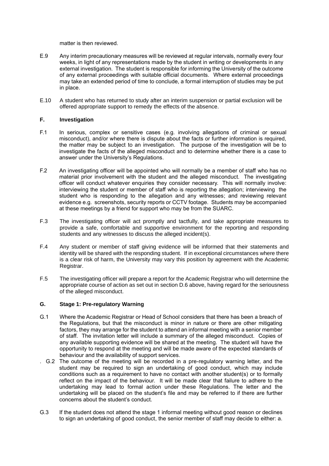matter is then reviewed.

- E.9 Any interim precautionary measures will be reviewed at regular intervals, normally every four weeks, in light of any representations made by the student in writing or developments in any external investigation. The student is responsible for informing the University of the outcome of any external proceedings with suitable official documents.Where external proceedings may take an extended period of time to conclude, a formal interruption of studies may be put in place.
- E.10 A student who has returned to study after an interim suspension or partial exclusion will be offered appropriate support to remedy the effects of the absence.

#### **F. Investigation**

- F.1 In serious, complex or sensitive cases (e.g. involving allegations of criminal or sexual misconduct), and/or where there is dispute about the facts or further information is required, the matter may be subject to an investigation. The purpose of the investigation will be to investigate the facts of the alleged misconduct and to determine whether there is a case to answer under the University's Regulations.
- F.2 An investigating officer will be appointed who will normally be a member of staff who has no material prior involvement with the student and the alleged misconduct. The investigating officer will conduct whatever enquiries they consider necessary. This will normally involve: interviewing the student or member of staff who is reporting the allegation; interviewing the student who is responding to the allegation and any witnesses; and reviewing relevant evidence e.g. screenshots, security reports or CCTV footage. Students may be accompanied at these meetings by a friend for support who may be from the SUARC.
- F.3 The investigating officer will act promptly and tactfully, and take appropriate measures to provide a safe, comfortable and supportive environment for the reporting and responding students and any witnesses to discuss the alleged incident(s).
- F.4 Any student or member of staff giving evidence will be informed that their statements and identity will be shared with the responding student. If in exceptional circumstances where there is a clear risk of harm, the University may vary this position by agreement with the Academic Registrar.
- F.5 The investigating officer will prepare a report for the Academic Registrar who will determine the appropriate course of action as set out in section D.6 above, having regard for the seriousness of the alleged misconduct.

# **G. Stage 1: Pre-regulatory Warning**

- G.1 Where the Academic Registrar or Head of School considers that there has been a breach of the Regulations, but that the misconduct is minor in nature or there are other mitigating factors, they may arrange for the student to attend an informal meeting with a senior member of staff. The invitation letter will include a summary of the alleged misconduct. Copies of any available supporting evidence will be shared at the meeting. The student will have the opportunity to respond at the meeting and will be made aware of the expected standards of behaviour and the availability of support services.
- . G.2 The outcome of the meeting will be recorded in a pre-regulatory warning letter, and the student may be required to sign an undertaking of good conduct, which may include conditions such as a requirement to have no contact with another student(s) or to formally reflect on the impact of the behaviour. It will be made clear that failure to adhere to the undertaking may lead to formal action under these Regulations. The letter and the undertaking will be placed on the student's file and may be referred to if there are further concerns about the student's conduct.
- G.3 If the student does not attend the stage 1 informal meeting without good reason or declines to sign an undertaking of good conduct, the senior member of staff may decide to either: a.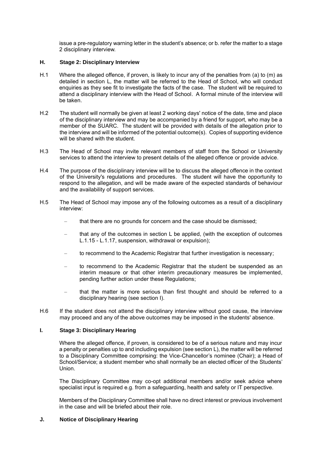issue a pre-regulatory warning letter in the student's absence; or b. refer the matter to a stage 2 disciplinary interview.

#### **H. Stage 2: Disciplinary Interview**

- H.1 Where the alleged offence, if proven, is likely to incur any of the penalties from (a) to (m) as detailed in section L, the matter will be referred to the Head of School, who will conduct enquiries as they see fit to investigate the facts of the case. The student will be required to attend a disciplinary interview with the Head of School. A formal minute of the interview will be taken.
- H.2 The student will normally be given at least 2 working days' notice of the date, time and place of the disciplinary interview and may be accompanied by a friend for support, who may be a member of the SUARC. The student will be provided with details of the allegation prior to the interview and will be informed of the potential outcome(s). Copies of supporting evidence will be shared with the student.
- H.3 The Head of School may invite relevant members of staff from the School or University services to attend the interview to present details of the alleged offence or provide advice.
- H.4 The purpose of the disciplinary interview will be to discuss the alleged offence in the context of the University's regulations and procedures. The student will have the opportunity to respond to the allegation, and will be made aware of the expected standards of behaviour and the availability of support services.
- H.5 The Head of School may impose any of the following outcomes as a result of a disciplinary interview:
	- that there are no grounds for concern and the case should be dismissed;
	- that any of the outcomes in section L be applied, (with the exception of outcomes L.1.15 - L.1.17, suspension, withdrawal or expulsion);
	- to recommend to the Academic Registrar that further investigation is necessary;
	- to recommend to the Academic Registrar that the student be suspended as an interim measure or that other interim precautionary measures be implemented, pending further action under these Regulations;
	- that the matter is more serious than first thought and should be referred to a disciplinary hearing (see section I).
- H.6 If the student does not attend the disciplinary interview without good cause, the interview may proceed and any of the above outcomes may be imposed in the students' absence.

#### **I. Stage 3: Disciplinary Hearing**

Where the alleged offence, if proven, is considered to be of a serious nature and may incur a penalty or penalties up to and including expulsion (see section L), the matter will be referred to a Disciplinary Committee comprising: the Vice-Chancellor's nominee (Chair); a Head of School/Service; a student member who shall normally be an elected officer of the Students' Union.

The Disciplinary Committee may co-opt additional members and/or seek advice where specialist input is required e.g. from a safeguarding, health and safety or IT perspective.

Members of the Disciplinary Committee shall have no direct interest or previous involvement in the case and will be briefed about their role.

## **J. Notice of Disciplinary Hearing**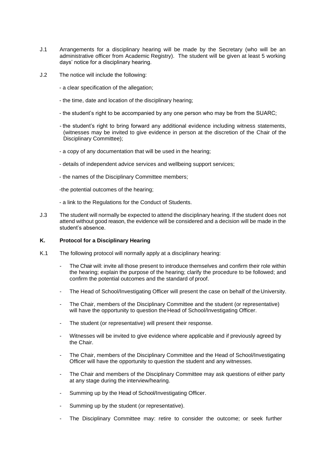- J.1 Arrangements for a disciplinary hearing will be made by the Secretary (who will be an administrative officer from Academic Registry). The student will be given at least 5 working days' notice for a disciplinary hearing.
- J.2 The notice will include the following:
	- a clear specification of the allegation;
	- the time, date and location of the disciplinary hearing;
	- the student's right to be accompanied by any one person who may be from the SUARC;
	- the student's right to bring forward any additional evidence including witness statements, (witnesses may be invited to give evidence in person at the discretion of the Chair of the Disciplinary Committee);
	- a copy of any documentation that will be used in the hearing;
	- details of independent advice services and wellbeing support services;
	- the names of the Disciplinary Committee members;
	- -the potential outcomes of the hearing;
	- a link to the Regulations for the Conduct of Students.
- J.3 The student will normally be expected to attend the disciplinary hearing. If the student does not attend without good reason, the evidence will be considered and a decision will be made in the student's absence.

# **K. Protocol for a Disciplinary Hearing**

- K.1 The following protocol will normally apply at a disciplinary hearing:
	- The Chair will: invite all those present to introduce themselves and confirm their role within the hearing; explain the purpose of the hearing; clarify the procedure to be followed; and confirm the potential outcomes and the standard of proof.
	- The Head of School/Investigating Officer will present the case on behalf of the University.
	- The Chair, members of the Disciplinary Committee and the student (or representative) will have the opportunity to question the Head of School/Investigating Officer.
	- The student (or representative) will present their response.
	- Witnesses will be invited to give evidence where applicable and if previously agreed by the Chair.
	- The Chair, members of the Disciplinary Committee and the Head of School/Investigating Officer will have the opportunity to question the student and any witnesses.
	- The Chair and members of the Disciplinary Committee may ask questions of either party at any stage during the interview/hearing.
	- Summing up by the Head of School/Investigating Officer.
	- Summing up by the student (or representative).
	- The Disciplinary Committee may: retire to consider the outcome; or seek further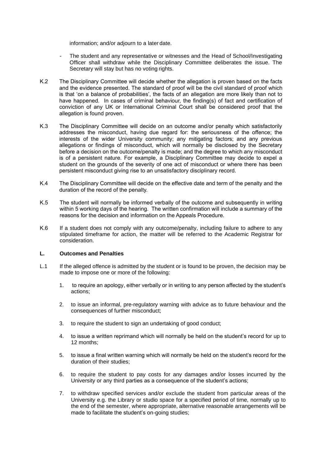information; and/or adjourn to a later date.

- The student and any representative or witnesses and the Head of School/Investigating Officer shall withdraw while the Disciplinary Committee deliberates the issue. The Secretary will stay but has no voting rights.
- K.2 The Disciplinary Committee will decide whether the allegation is proven based on the facts and the evidence presented. The standard of proof will be the civil standard of proof which is that 'on a balance of probabilities', the facts of an allegation are more likely than not to have happened. In cases of criminal behaviour, the finding(s) of fact and certification of conviction of any UK or International Criminal Court shall be considered proof that the allegation is found proven.
- K.3 The Disciplinary Committee will decide on an outcome and/or penalty which satisfactorily addresses the misconduct, having due regard for: the seriousness of the offence; the interests of the wider University community; any mitigating factors; and any previous allegations or findings of misconduct, which will normally be disclosed by the Secretary before a decision on the outcome/penalty is made; and the degree to which any misconduct is of a persistent nature. For example, a Disciplinary Committee may decide to expel a student on the grounds of the severity of one act of misconduct or where there has been persistent misconduct giving rise to an unsatisfactory disciplinary record.
- K.4 The Disciplinary Committee will decide on the effective date and term of the penalty and the duration of the record of the penalty.
- K.5 The student will normally be informed verbally of the outcome and subsequently in writing within 5 working days of the hearing. The written confirmation will include a summary of the reasons for the decision and information on the Appeals Procedure.
- K.6 If a student does not comply with any outcome/penalty, including failure to adhere to any stipulated timeframe for action, the matter will be referred to the Academic Registrar for consideration.

#### **L. Outcomes and Penalties**

- L.1 If the alleged offence is admitted by the student or is found to be proven, the decision may be made to impose one or more of the following:
	- 1. to require an apology, either verbally or in writing to any person affected by the student's actions;
	- 2. to issue an informal, pre-regulatory warning with advice as to future behaviour and the consequences of further misconduct;
	- 3. to require the student to sign an undertaking of good conduct;
	- 4. to issue a written reprimand which will normally be held on the student's record for up to 12 months;
	- 5. to issue a final written warning which will normally be held on the student's record for the duration of their studies;
	- 6. to require the student to pay costs for any damages and/or losses incurred by the University or any third parties as a consequence of the student's actions;
	- 7. to withdraw specified services and/or exclude the student from particular areas of the University e.g. the Library or studio space for a specified period of time, normally up to the end of the semester, where appropriate, alternative reasonable arrangements will be made to facilitate the student's on-going studies;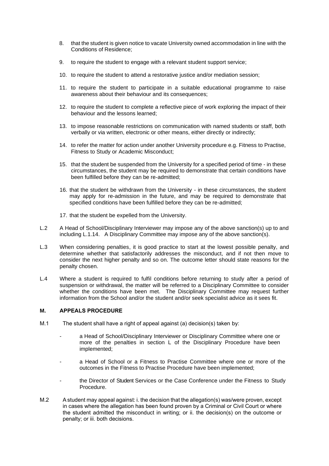- 8. that the student is given notice to vacate University owned accommodation in line with the Conditions of Residence;
- 9. to require the student to engage with a relevant student support service;
- 10. to require the student to attend a restorative justice and/or mediation session;
- 11. to require the student to participate in a suitable educational programme to raise awareness about their behaviour and its consequences;
- 12. to require the student to complete a reflective piece of work exploring the impact of their behaviour and the lessons learned;
- 13. to impose reasonable restrictions on communication with named students or staff, both verbally or via written, electronic or other means, either directly or indirectly;
- 14. to refer the matter for action under another University procedure e.g. Fitness to Practise, Fitness to Study or Academic Misconduct;
- 15. that the student be suspended from the University for a specified period of time in these circumstances, the student may be required to demonstrate that certain conditions have been fulfilled before they can be re-admitted;
- 16. that the student be withdrawn from the University in these circumstances, the student may apply for re-admission in the future, and may be required to demonstrate that specified conditions have been fulfilled before they can be re-admitted;
- 17. that the student be expelled from the University.
- L.2 A Head of School/Disciplinary Interviewer may impose any of the above sanction(s) up to and including L.1.14. A Disciplinary Committee may impose any of the above sanction(s).
- L.3 When considering penalties, it is good practice to start at the lowest possible penalty, and determine whether that satisfactorily addresses the misconduct, and if not then move to consider the next higher penalty and so on. The outcome letter should state reasons for the penalty chosen.
- L.4 Where a student is required to fulfil conditions before returning to study after a period of suspension or withdrawal, the matter will be referred to a Disciplinary Committee to consider whether the conditions have been met. The Disciplinary Committee may request further information from the School and/or the student and/or seek specialist advice as it sees fit.

#### **M. APPEALS PROCEDURE**

- M.1 The student shall have a right of appeal against (a) decision(s) taken by:
	- a Head of School/Disciplinary Interviewer or Disciplinary Committee where one or more of the penalties in section L of the Disciplinary Procedure have been implemented;
	- a Head of School or a Fitness to Practise Committee where one or more of the outcomes in the Fitness to Practise Procedure have been implemented;
	- the Director of Student Services or the Case Conference under the Fitness to Study Procedure.
- M.2 A student may appeal against: i. the decision that the allegation(s) was/were proven, except in cases where the allegation has been found proven by a Criminal or Civil Court or where the student admitted the misconduct in writing; or ii. the decision(s) on the outcome or penalty; or iii. both decisions.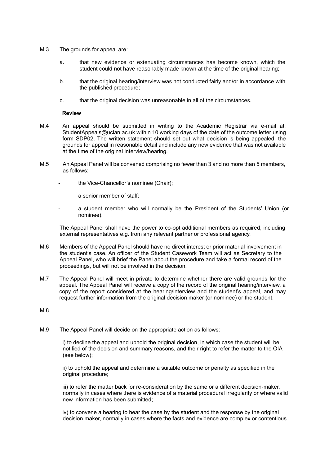- M.3 The grounds for appeal are:
	- a. that new evidence or extenuating circumstances has become known, which the student could not have reasonably made known at the time of the original hearing;
	- b. that the original hearing/interview was not conducted fairly and/or in accordance with the published procedure;
	- c. that the original decision was unreasonable in all of the circumstances.

#### **Review**

- M.4 An appeal should be submitted in writing to the Academic Registrar via e-mail at: StudentAppeals@uclan.ac.uk within 10 working days of the date of the outcome letter using form SDP02. The written statement should set out what decision is being appealed, the grounds for appeal in reasonable detail and include any new evidence that was not available at the time of the original interview/hearing.
- M.5 An Appeal Panel will be convened comprising no fewer than 3 and no more than 5 members, as follows:
	- the Vice-Chancellor's nominee (Chair);
	- a senior member of staff:
	- a student member who will normally be the President of the Students' Union (or nominee).

The Appeal Panel shall have the power to co-opt additional members as required, including external representatives e.g. from any relevant partner or professional agency.

- M.6 Members of the Appeal Panel should have no direct interest or prior material involvement in the student's case. An officer of the Student Casework Team will act as Secretary to the Appeal Panel, who will brief the Panel about the procedure and take a formal record of the proceedings, but will not be involved in the decision.
- M.7 The Appeal Panel will meet in private to determine whether there are valid grounds for the appeal. The Appeal Panel will receive a copy of the record of the original hearing/interview, a copy of the report considered at the hearing/interview and the student's appeal, and may request further information from the original decision maker (or nominee) or the student.
- M.8
- M.9 The Appeal Panel will decide on the appropriate action as follows:

i) to decline the appeal and uphold the original decision, in which case the student will be notified of the decision and summary reasons, and their right to refer the matter to the OIA (see below);

ii) to uphold the appeal and determine a suitable outcome or penalty as specified in the original procedure;

iii) to refer the matter back for re-consideration by the same or a different decision-maker, normally in cases where there is evidence of a material procedural irregularity or where valid new information has been submitted;

iv) to convene a hearing to hear the case by the student and the response by the original decision maker, normally in cases where the facts and evidence are complex or contentious.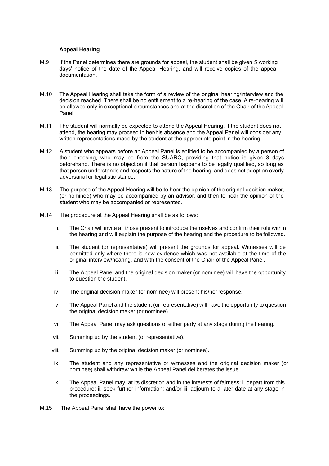#### **Appeal Hearing**

- M.9 If the Panel determines there are grounds for appeal, the student shall be given 5 working days' notice of the date of the Appeal Hearing, and will receive copies of the appeal documentation.
- M.10 The Appeal Hearing shall take the form of a review of the original hearing/interview and the decision reached. There shall be no entitlement to a re-hearing of the case. A re-hearing will be allowed only in exceptional circumstances and at the discretion of the Chair of the Appeal Panel.
- M.11 The student will normally be expected to attend the Appeal Hearing. If the student does not attend, the hearing may proceed in her/his absence and the Appeal Panel will consider any written representations made by the student at the appropriate point in the hearing.
- M.12 A student who appears before an Appeal Panel is entitled to be accompanied by a person of their choosing, who may be from the SUARC, providing that notice is given 3 days beforehand. There is no objection if that person happens to be legally qualified, so long as that person understands and respects the nature of the hearing, and does not adopt an overly adversarial or legalistic stance.
- M.13 The purpose of the Appeal Hearing will be to hear the opinion of the original decision maker, (or nominee) who may be accompanied by an advisor, and then to hear the opinion of the student who may be accompanied or represented.
- M.14 The procedure at the Appeal Hearing shall be as follows:
	- i. The Chair will invite all those present to introduce themselves and confirm their role within the hearing and will explain the purpose of the hearing and the procedure to be followed.
	- ii. The student (or representative) will present the grounds for appeal. Witnesses will be permitted only where there is new evidence which was not available at the time of the original interview/hearing, and with the consent of the Chair of the Appeal Panel.
	- iii. The Appeal Panel and the original decision maker (or nominee) will have the opportunity to question the student.
	- iv. The original decision maker (or nominee) will present his/her response.
	- v. The Appeal Panel and the student (or representative) will have the opportunity to question the original decision maker (or nominee).
	- vi. The Appeal Panel may ask questions of either party at any stage during the hearing.
	- vii. Summing up by the student (or representative).
	- viii. Summing up by the original decision maker (or nominee).
	- ix. The student and any representative or witnesses and the original decision maker (or nominee) shall withdraw while the Appeal Panel deliberates the issue.
	- x. The Appeal Panel may, at its discretion and in the interests of fairness: i. depart from this procedure; ii. seek further information; and/or iii. adjourn to a later date at any stage in the proceedings.
- M.15 The Appeal Panel shall have the power to: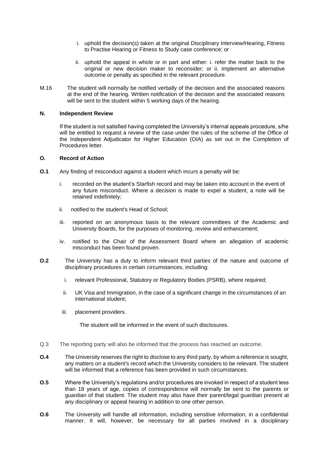- i. uphold the decision(s) taken at the original Disciplinary Interview/Hearing, Fitness to Practise Hearing or Fitness to Study case conference; or
- ii. uphold the appeal in whole or in part and either: i. refer the matter back to the original or new decision maker to reconsider; or ii. implement an alternative outcome or penalty as specified in the relevant procedure.
- M.16 The student will normally be notified verbally of the decision and the associated reasons at the end of the hearing. Written notification of the decision and the associated reasons will be sent to the student within 5 working days of the hearing.

#### **N. Independent Review**

If the student is not satisfied having completed the University's internal appeals procedure, s/he will be entitled to request a review of the case under the rules of the scheme of the Office of the Independent Adjudicator for Higher Education (OIA) as set out in the Completion of Procedures letter.

#### **O. Record of Action**

- **O.1** Any finding of misconduct against a student which incurs a penalty will be:
	- i. recorded on the student's Starfish record and may be taken into account in the event of any future misconduct. Where a decision is made to expel a student, a note will be retained indefinitely;
	- ii. notified to the student's Head of School;
	- iii. reported on an anonymous basis to the relevant committees of the Academic and University Boards, for the purposes of monitoring, review and enhancement;
	- iv. notified to the Chair of the Assessment Board where an allegation of academic misconduct has been found proven.
- **O.2** The University has a duty to inform relevant third parties of the nature and outcome of disciplinary procedures in certain circumstances, including:
	- i. relevant Professional, Statutory or Regulatory Bodies (PSRB), where required;
	- ii. UK Visa and Immigration, in the case of a significant change in the circumstances of an international student;
	- iii. placement providers.

The student will be informed in the event of such disclosures.

- Q.3 The reporting party will also be informed that the process has reached an outcome.
- **O.4** The University reserves the right to disclose to any third party, by whom a reference is sought, any matters on a student's record which the University considers to be relevant. The student will be informed that a reference has been provided in such circumstances.
- **O.5** Where the University's regulations and/or procedures are invoked in respect of a student less than 18 years of age, copies of correspondence will normally be sent to the parents or guardian of that student. The student may also have their parent/legal guardian present at any disciplinary or appeal hearing in addition to one other person.
- **O.6** The University will handle all information, including sensitive information, in a confidential manner. It will, however, be necessary for all parties involved in a disciplinary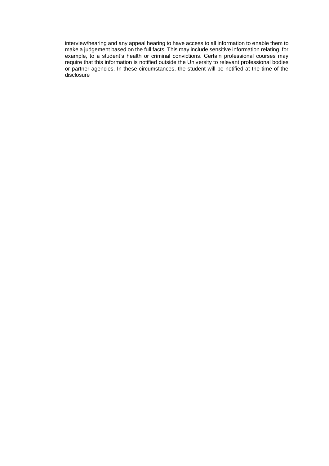interview/hearing and any appeal hearing to have access to all information to enable them to make a judgement based on the full facts. This may include sensitive information relating, for example, to a student's health or criminal convictions. Certain professional courses may require that this information is notified outside the University to relevant professional bodies or partner agencies. In these circumstances, the student will be notified at the time of the disclosure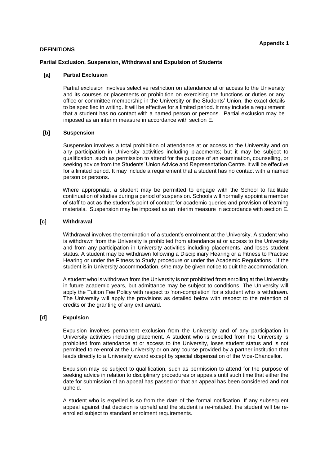#### **DEFINITIONS**

#### **Partial Exclusion, Suspension, Withdrawal and Expulsion of Students**

#### **[a] Partial Exclusion**

Partial exclusion involves selective restriction on attendance at or access to the University and its courses or placements or prohibition on exercising the functions or duties or any office or committee membership in the University or the Students' Union, the exact details to be specified in writing. It will be effective for a limited period. It may include a requirement that a student has no contact with a named person or persons. Partial exclusion may be imposed as an interim measure in accordance with section E.

#### **[b] Suspension**

Suspension involves a total prohibition of attendance at or access to the University and on any participation in University activities including placements; but it may be subject to qualification, such as permission to attend for the purpose of an examination, counselling, or seeking advice from the Students' Union Advice and Representation Centre. It will be effective for a limited period. It may include a requirement that a student has no contact with a named person or persons.

Where appropriate, a student may be permitted to engage with the School to facilitate continuation of studies during a period of suspension. Schools will normally appoint a member of staff to act as the student's point of contact for academic queries and provision of learning materials. Suspension may be imposed as an interim measure in accordance with section E.

#### **[c] Withdrawal**

Withdrawal involves the termination of a student's enrolment at the University. A student who is withdrawn from the University is prohibited from attendance at or access to the University and from any participation in University activities including placements, and loses student status. A student may be withdrawn following a Disciplinary Hearing or a Fitness to Practise Hearing or under the Fitness to Study procedure or under the Academic Regulations. If the student is in University accommodation, s/he may be given notice to quit the accommodation.

A student who is withdrawn from the University is not prohibited from enrolling at the University in future academic years, but admittance may be subject to conditions. The University will apply the Tuition Fee Policy with respect to 'non-completion' for a student who is withdrawn. The University will apply the provisions as detailed below with respect to the retention of credits or the granting of any exit award.

## **[d] Expulsion**

Expulsion involves permanent exclusion from the University and of any participation in University activities including placement. A student who is expelled from the University is prohibited from attendance at or access to the University, loses student status and is not permitted to re-enrol at the University or on any course provided by a partner institution that leads directly to a University award except by special dispensation of the Vice-Chancellor.

Expulsion may be subject to qualification, such as permission to attend for the purpose of seeking advice in relation to disciplinary procedures or appeals until such time that either the date for submission of an appeal has passed or that an appeal has been considered and not upheld.

A student who is expelled is so from the date of the formal notification. If any subsequent appeal against that decision is upheld and the student is re-instated, the student will be reenrolled subject to standard enrolment requirements.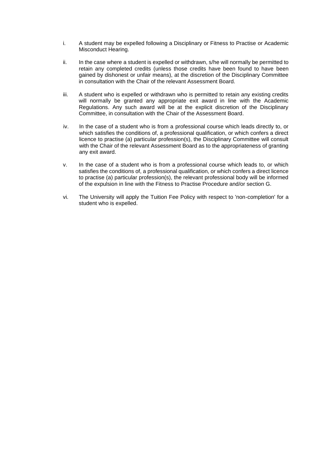- i. A student may be expelled following a Disciplinary or Fitness to Practise or Academic Misconduct Hearing.
- ii. In the case where a student is expelled or withdrawn, s/he will normally be permitted to retain any completed credits (unless those credits have been found to have been gained by dishonest or unfair means), at the discretion of the Disciplinary Committee in consultation with the Chair of the relevant Assessment Board.
- iii. A student who is expelled or withdrawn who is permitted to retain any existing credits will normally be granted any appropriate exit award in line with the Academic Regulations. Any such award will be at the explicit discretion of the Disciplinary Committee, in consultation with the Chair of the Assessment Board.
- iv. In the case of a student who is from a professional course which leads directly to, or which satisfies the conditions of, a professional qualification, or which confers a direct licence to practise (a) particular profession(s), the Disciplinary Committee will consult with the Chair of the relevant Assessment Board as to the appropriateness of granting any exit award.
- v. In the case of a student who is from a professional course which leads to, or which satisfies the conditions of, a professional qualification, or which confers a direct licence to practise (a) particular profession(s), the relevant professional body will be informed of the expulsion in line with the Fitness to Practise Procedure and/or section G.
- vi. The University will apply the Tuition Fee Policy with respect to 'non-completion' for a student who is expelled.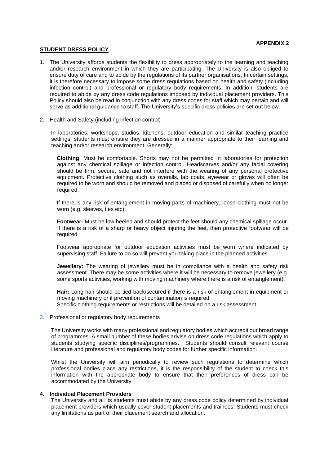#### **APPENDIX 2**

#### **STUDENT DRESS POLICY**

- 1. The University affords students the flexibility to dress appropriately to the learning and teaching and/or research environment in which they are participating. The University is also obliged to ensure duty of care and to abide by the regulations of its partner organisations. In certain settings, it is therefore necessary to impose some dress regulations based on health and safety (including infection control) and professional or regulatory body requirements. In addition, students are required to abide by any dress code regulations imposed by individual placement providers. This Policy should also be read in conjunction with any dress codes for staff which may pertain and will serve as additional guidance to staff. The University's specific dress policies are set out below.
- 2. Health and Safety (including infection control)

In laboratories, workshops, studios, kitchens, outdoor education and similar teaching practice settings, students must ensure they are dressed in a manner appropriate to their learning and teaching and/or research environment. Generally:

**Clothing**: Must be comfortable. Shorts may not be permitted in laboratories for protection against any chemical spillage or infection control. Headscarves and/or any facial covering should be firm, secure, safe and not interfere with the wearing of any personal protective equipment. Protective clothing such as overalls, lab coats, eyewear or gloves will often be required to be worn and should be removed and placed or disposed of carefully when no longer required.

If there is any risk of entanglement in moving parts of machinery, loose clothing must not be worn (e.g. sleeves, ties etc).

**Footwear:** Must be low heeled and should protect the feet should any chemical spillage occur. If there is a risk of a sharp or heavy object injuring the feet, then protective footwear will be required.

Footwear appropriate for outdoor education activities must be worn where indicated by supervising staff. Failure to do so will prevent you taking place in the planned activities.

**Jewellery:** The wearing of jewellery must be in compliance with a health and safety risk assessment. There may be some activities where it will be necessary to remove jewellery (e.g. some sports activities, working with moving machinery where there is a risk of entanglement).

**Hair:** Long hair should be tied back/secured if there is a risk of entanglement in equipment or moving machinery or if prevention of contamination is required. Specific clothing requirements or restrictions will be detailed on a risk assessment.

3. Professional or regulatory body requirements

The University works with many professional and regulatory bodies which accredit our broad range of programmes. A small number of these bodies advise on dress code regulations which apply to students studying specific disciplines/programmes. Students should consult relevant course literature and professional and regulatory body codes for further specific information.

Whilst the University will aim periodically to review such regulations to determine which professional bodies place any restrictions, it is the responsibility of the student to check this information with the appropriate body to ensure that their preferences of dress can be accommodated by the University.

#### **4. Individual Placement Providers**

The University and all its students must abide by any dress code policy determined by individual placement providers which usually cover student placements and trainees. Students must check any limitations as part of their placement search and allocation.